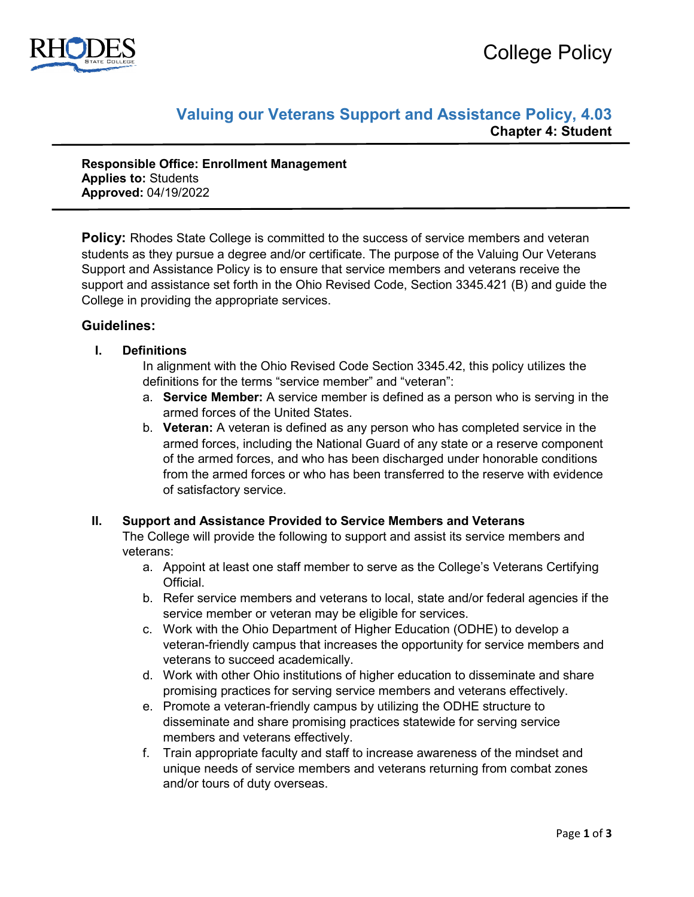

# **Valuing our Veterans Support and Assistance Policy, 4.03 Chapter 4: Student**

**Responsible Office: Enrollment Management Applies to:** Students **Approved:** 04/19/2022

**Policy:** Rhodes State College is committed to the success of service members and veteran students as they pursue a degree and/or certificate. The purpose of the Valuing Our Veterans Support and Assistance Policy is to ensure that service members and veterans receive the support and assistance set forth in the Ohio Revised Code, Section 3345.421 (B) and guide the College in providing the appropriate services.

# **Guidelines:**

## **I. Definitions**

In alignment with the Ohio Revised Code Section 3345.42, this policy utilizes the definitions for the terms "service member" and "veteran":

- a. **Service Member:** A service member is defined as a person who is serving in the armed forces of the United States.
- b. **Veteran:** A veteran is defined as any person who has completed service in the armed forces, including the National Guard of any state or a reserve component of the armed forces, and who has been discharged under honorable conditions from the armed forces or who has been transferred to the reserve with evidence of satisfactory service.

#### **II. Support and Assistance Provided to Service Members and Veterans**

The College will provide the following to support and assist its service members and veterans:

- a. Appoint at least one staff member to serve as the College's Veterans Certifying Official.
- b. Refer service members and veterans to local, state and/or federal agencies if the service member or veteran may be eligible for services.
- c. Work with the Ohio Department of Higher Education (ODHE) to develop a veteran-friendly campus that increases the opportunity for service members and veterans to succeed academically.
- d. Work with other Ohio institutions of higher education to disseminate and share promising practices for serving service members and veterans effectively.
- e. Promote a veteran-friendly campus by utilizing the ODHE structure to disseminate and share promising practices statewide for serving service members and veterans effectively.
- f. Train appropriate faculty and staff to increase awareness of the mindset and unique needs of service members and veterans returning from combat zones and/or tours of duty overseas.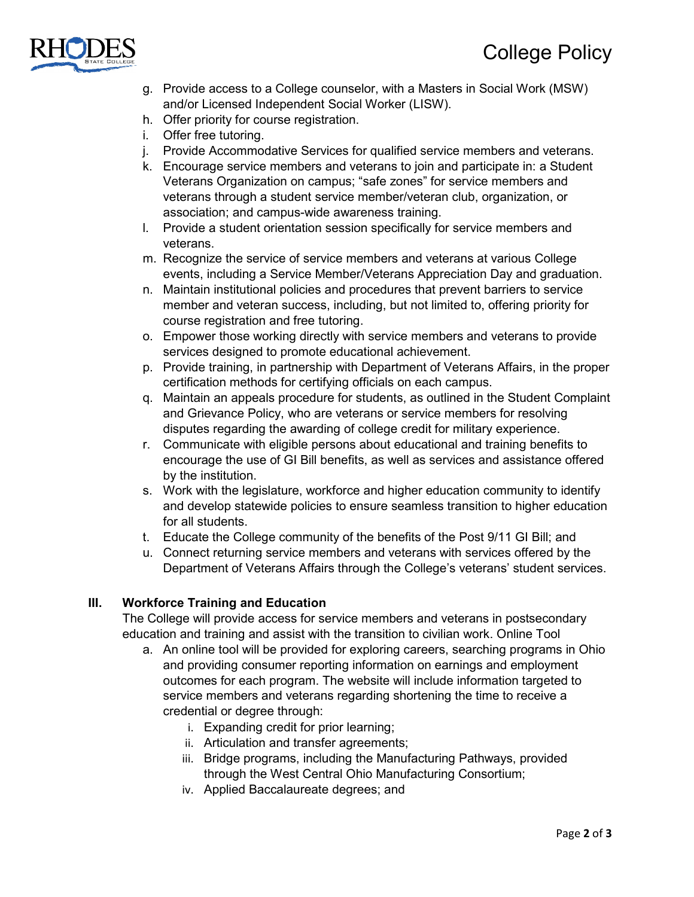

- g. Provide access to a College counselor, with a Masters in Social Work (MSW) and/or Licensed Independent Social Worker (LISW).
- h. Offer priority for course registration.
- i. Offer free tutoring.
- j. Provide Accommodative Services for qualified service members and veterans.
- k. Encourage service members and veterans to join and participate in: a Student Veterans Organization on campus; "safe zones" for service members and veterans through a student service member/veteran club, organization, or association; and campus-wide awareness training.
- l. Provide a student orientation session specifically for service members and veterans.
- m. Recognize the service of service members and veterans at various College events, including a Service Member/Veterans Appreciation Day and graduation.
- n. Maintain institutional policies and procedures that prevent barriers to service member and veteran success, including, but not limited to, offering priority for course registration and free tutoring.
- o. Empower those working directly with service members and veterans to provide services designed to promote educational achievement.
- p. Provide training, in partnership with Department of Veterans Affairs, in the proper certification methods for certifying officials on each campus.
- q. Maintain an appeals procedure for students, as outlined in the Student Complaint and Grievance Policy, who are veterans or service members for resolving disputes regarding the awarding of college credit for military experience.
- r. Communicate with eligible persons about educational and training benefits to encourage the use of GI Bill benefits, as well as services and assistance offered by the institution.
- s. Work with the legislature, workforce and higher education community to identify and develop statewide policies to ensure seamless transition to higher education for all students.
- t. Educate the College community of the benefits of the Post 9/11 GI Bill; and
- u. Connect returning service members and veterans with services offered by the Department of Veterans Affairs through the College's veterans' student services.

## **III. Workforce Training and Education**

The College will provide access for service members and veterans in postsecondary education and training and assist with the transition to civilian work. Online Tool

- a. An online tool will be provided for exploring careers, searching programs in Ohio and providing consumer reporting information on earnings and employment outcomes for each program. The website will include information targeted to service members and veterans regarding shortening the time to receive a credential or degree through:
	- i. Expanding credit for prior learning;
	- ii. Articulation and transfer agreements;
	- iii. Bridge programs, including the Manufacturing Pathways, provided through the West Central Ohio Manufacturing Consortium;
	- iv. Applied Baccalaureate degrees; and